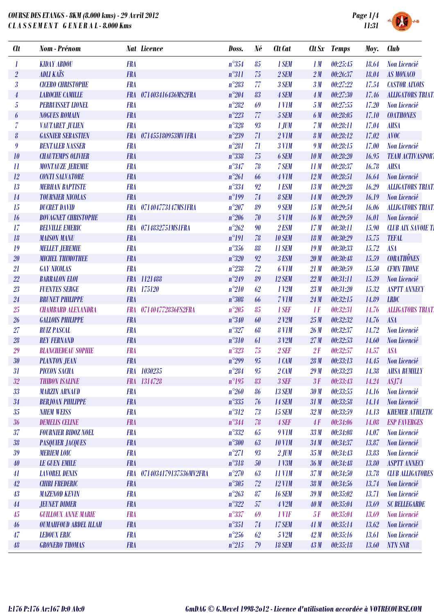

↑●

| <b>Clt</b>                 | Nom - Prénom                 |            | <b>Nat Licence</b>         | Doss.          | Né     | <b>Clt</b> Cat    |                 | Clt Sx Temps | Moy.  | <b>Club</b>               |
|----------------------------|------------------------------|------------|----------------------------|----------------|--------|-------------------|-----------------|--------------|-------|---------------------------|
| 1                          | <b>KIDAY ABDOU</b>           | <b>FRA</b> |                            | $n^{\circ}354$ | 85     | 1 SEM             | 1M              | 00:25:45     | 18.64 | Non Licencié              |
| $\sqrt{2}$                 | <b>ADLI KAÏS</b>             | <b>FRA</b> |                            | $n^{\circ}311$ | 75     | 2 SEM             | 2M              | 00:26:37     | 18.04 | <b>AS MONACO</b>          |
| $\boldsymbol{\beta}$       | <b>CICERO CHRISTOPHE</b>     | <b>FRA</b> |                            | $n^{\circ}283$ | 77     | 3 SEM             | 3M              | 00:27:22     | 17.54 | <b>CASTOR AIXOIS</b>      |
| $\overline{4}$             | <b>LAROCHE CAMILLE</b>       | <b>FRA</b> | 071403416436MS2FRA         | $n^{\circ}204$ | 83     | 4 SEM             | 4M              | 00:27:30     | 17.46 | <b>ALLIGATORS TRIAT</b>   |
| $\sqrt{5}$                 | <b>PERRUISSET LIONEL</b>     | <b>FRA</b> |                            | $n^{\circ}282$ | 69     | $1$ V1M           | 5M              | 00:27:55     | 17.20 | <b>Non Licencié</b>       |
| 6                          | <b>NOGUES ROMAIN</b>         | <b>FRA</b> |                            | $n^{\circ}223$ | 77     | 5 SEM             | 6 M             | 00:28:05     | 17.10 | <b>COATHONES</b>          |
| $\overline{\mathcal{U}}$   | <b>VAUTARET JULIEN</b>       | <b>FRA</b> |                            | $n^{\circ}328$ | 93     | 1 JUM             | 7M              | 00:28:11     | 17.04 | <b>AHSA</b>               |
| $\boldsymbol{\theta}$      | <b>GASNIER SEBASTIEN</b>     | <b>FRA</b> | 071455180953MV1FRA         | $n^{\circ}239$ | 71     | $2$ V1M           | 8 <sub>M</sub>  | 00:28:12     | 17.02 | <b>AVOC</b>               |
| 9                          | <b>BENTALEB NASSER</b>       | <b>FRA</b> |                            | $n^{\circ}281$ | 71     | <b>3 V1M</b>      | 9 M             | 00:28:15     | 17.00 | Non Licencié              |
| 10                         | <b>CHAUTEMPS OLIVIER</b>     | <b>FRA</b> |                            | $n^{\circ}338$ | 75     | 6 SEM             | 10 <sub>M</sub> | 00:28:20     | 16.95 | <b>TEAM ACTIVASPORT</b>   |
| $\boldsymbol{\mathit{11}}$ | <b>MONTAUZE JEREMIE</b>      | <b>FRA</b> |                            | $n^{\circ}347$ | 78     | 7 SEM             | 11M             | 00:28:37     | 16.78 | <b>AHSA</b>               |
| 12                         | <b>CONTI SALVATORE</b>       | <b>FRA</b> |                            | $n^{\circ}261$ | 66     | 4 V1M             | 12M             | 00:28:51     | 16.64 | Non Licencié              |
| 13                         | <b>MERHAN BAPTISTE</b>       | <b>FRA</b> |                            | $n^{\circ}334$ | 92     | 1 ESM             | 13M             | 00:29:28     | 16.29 | <b>ALLIGATORS TRIAT</b>   |
| 14                         | <b>TOURNIER NICOLAS</b>      | <b>FRA</b> |                            | $n^{\circ}199$ | 74     | 8 SEM             | 14M             | 00:29:39     | 16.19 | Non Licencié              |
| 15                         | <b>DUCRET DAVID</b>          | <b>FRA</b> | 071404773147MS1FRA         | $n^{\circ}207$ | 89     | 9 SEM             | 15M             | 00:29:54     | 16.06 | <b>ALLIGATORS TRIAT</b>   |
| 16                         | <b>BOVAGNET CHRISTOPHE</b>   | <b>FRA</b> |                            | $n^{\circ}206$ | 70     | <b>5 V1M</b>      | 16M             | 00:29:59     | 16.01 | Non Licencié              |
| 17                         | <b>BELVILLE EMERIC</b>       | <b>FRA</b> | 0714832751MS1FRA           | $n^{\circ}262$ | 90     | 2 ESM             | 17M             | 00:30:11     | 15.90 | <b>CLUB AIX SAVOIE TI</b> |
| 18                         | <b>MAISON MANU</b>           | <b>FRA</b> |                            | $n^{\circ}191$ | 78     | <b>10 SEM</b>     | 18 M            | 00:30:29     | 15.75 | <b>TEFAL</b>              |
| 19                         | <b>MELLET JEREMIE</b>        | <b>FRA</b> |                            | $n^{\circ}356$ | 88     | <b>11 SEM</b>     | 19M             | 00:30:33     | 15.72 | <b>ASA</b>                |
| 20                         | <b>MICHEL THIMOTHEE</b>      | <b>FRA</b> |                            | $n^{\circ}320$ | 92     | 3 ESM             | 20 <sub>M</sub> | 00:30:48     | 15.59 | <b>CORATHÔNES</b>         |
| 21                         | <b>GAY NICOLAS</b>           | <b>FRA</b> |                            | $n^{\circ}238$ | 72     | 6 V <sub>1M</sub> | 21M             | 00:30:59     | 15.50 | <b>CFMN THONE</b>         |
| 22                         | <b>BARRALON ELOI</b>         |            | FRA 1121488                | $n^{\circ}249$ | 89     | 12 SEM            | 22M             | 00:31:11     | 15.39 | Non Licencié              |
| 23                         | <b>FUENTES SERGE</b>         |            | FRA 175120                 | $n^{\circ}210$ | 62     | $1$ $V2M$         | 23M             | 00:31:20     | 15.32 | <b>ASPTT ANNECY</b>       |
| 24                         | <b>BRUNET PHILIPPE</b>       | <b>FRA</b> |                            | $n^{\circ}308$ | 66     | 7 V1M             | 24M             | 00:32:15     | 14.89 | <b>LRDC</b>               |
| 25                         | <b>CHAMBARD ALEXANDRA</b>    | <b>FRA</b> | 071404772836FS2FRA         | $n^{\circ}205$ | 85     | 1 SEF             | 1F              | 00:32:31     | 14.76 | <b>ALLIGATORS TRIAT</b>   |
| 26                         | <b>GALLOIS PHILIPPE</b>      | <b>FRA</b> |                            | $n^{\circ}340$ | 60     | $2$ $V2M$         | 25M             | 00:32:32     | 14.76 | <b>ASA</b>                |
| 27                         | <b>RUIZ PASCAL</b>           | <b>FRA</b> |                            | $n^{\circ}327$ | 68     | <b>8 V1M</b>      | 26 <sub>M</sub> | 00:32:37     | 14.72 | Non Licencié              |
| 28                         | <b>REY FERNAND</b>           | <b>FRA</b> |                            | $n^{\circ}310$ | 61     | 3 V2M             | 27M             | 00:32:53     | 14.60 | Non Licencié              |
| 29                         | <b>BLANCHEDEAU SOPHIE</b>    | <b>FRA</b> |                            | $n^{\circ}323$ | 75     | $2$ SEF           | 2F              | 00:32:57     | 14.57 | <b>ASA</b>                |
| 30                         | <b>PLANTON JEAN</b>          | <b>FRA</b> |                            | $n^{\circ}299$ | 95     | 1 CAM             | 28 M            | 00:33:13     | 14.45 | Non Licencié              |
| 31                         | <b>PICCON SACHA</b>          |            | FRA 1030235                | $n^{\circ}284$ | 95     | $2$ CAM           | 29M             | 00:33:23     | 14.38 | <b>AHSA RUMILLY</b>       |
| $32\,$                     | <b>THIBON ISALINE</b>        |            | FRA 1314728                | $n^{\circ}195$ | 83     | 3 SEF             | 3F              | 00:33:43     | 14.24 | ASJ74                     |
| 33                         | <b>MARZIN ARNAUD</b>         | <b>FRA</b> |                            | $n^{\circ}260$ | 86     | <b>13 SEM</b>     | 30 <sub>M</sub> | 00:33:55     | 14.16 | Non Licencié              |
| 34                         | <b>BERJOAN PHILIPPE</b>      | <b>FRA</b> |                            | $n^{\circ}335$ | 76     | <b>14 SEM</b>     | 31M             | 00:33:58     | 14.14 | Non Licencié              |
| 35                         | <b>NHEM WEISS</b>            | <b>FRA</b> |                            | $n^{\circ}312$ | 73     | <b>15 SEM</b>     | 32 <sub>M</sub> | 00:33:59     | 14.13 | <b>KHEMER ATHLETIC</b>    |
| 36                         | <b>DEMELIS CELINE</b>        | <b>FRA</b> |                            | $n^{\circ}344$ | 78     | 4 SEF             | 4F              | 00:34:06     | 14.08 | <b>ESP FAVERGES</b>       |
| 37                         | <b>FOURNIER BIDOZ NOEL</b>   | <b>FRA</b> |                            | $n^{\circ}332$ | 65     | 9 V1M             | 33 <sub>M</sub> | 00:34:08     | 14.07 | Non Licencié              |
| 38                         | <b>PASQUIER JACQUES</b>      | <b>FRA</b> |                            | $n^{\circ}300$ | 63     | <b>10 V1M</b>     | 34M             | 00:34:37     | 13.87 | Non Licencié              |
| 39                         | <b>MERIEM LOIC</b>           | <b>FRA</b> |                            | $n^{\circ}271$ | 93     | $2$ JUM           | 35M             | 00:34:43     | 13.83 | Non Licencié              |
| 40                         | <b>LE GUEN EMILE</b>         | <b>FRA</b> |                            | $n^{\circ}318$ | $50\,$ | 1 V3M             | 36M             | 00:34:48     | 13.80 | <b>ASPTT ANNECY</b>       |
| 41                         | <b>LAVOREL DENIS</b>         |            | FRA 0714034179137536MV2FRA | $n^{\circ}270$ | 63     | <b>11 V1M</b>     | 37 <sub>M</sub> | 00:34:50     | 13.78 | <b>CLUB ALLIGATORES</b>   |
| 42                         | <b>CHIRI FREDERIC</b>        | <b>FRA</b> |                            | $n^{\circ}305$ | 72     | <b>12 V1M</b>     | 38M             | 00:34:56     | 13.74 | Non Licencié              |
| 43                         | <b>MAZENOD KEVIN</b>         | <b>FRA</b> |                            | $n^{\circ}263$ | 87     | <b>16 SEM</b>     | 39M             | 00:35:02     | 13.71 | Non Licencié              |
| 44                         | <b>JEUNET DIDIER</b>         | <b>FRA</b> |                            | $n^{\circ}322$ | 57     | <b>4 V2M</b>      | 40M             | 00:35:04     | 13.69 | <b>SC BELLEGARDE</b>      |
| 45                         | <b>GUILLOUX ANNE MARIE</b>   | <b>FRA</b> |                            | $n^{\circ}337$ | 69     | 1 VIF             | 5F              | 00:35:04     | 13.69 | Non Licencié              |
| 46                         | <b>OUMAHFOUD ABDEL ILLAH</b> | <b>FRA</b> |                            | $n^{\circ}351$ | 74     | <b>17 SEM</b>     | 41M             | 00:35:14     | 13.62 | Non Licencié              |
| 47                         | <b>LEDOUX ERIC</b>           | <b>FRA</b> |                            | $n^{\circ}256$ | 62     | 5 V2M             | 42M             | 00:35:16     | 13.61 | Non Licencié              |
| 48                         | <b>GRONERO THOMAS</b>        | <b>FRA</b> |                            | $n^{\circ}215$ | 79     | <b>18 SEM</b>     | 43M             | 00:35:18     | 13.60 | <b>NTN SNR</b>            |
|                            |                              |            |                            |                |        |                   |                 |              |       |                           |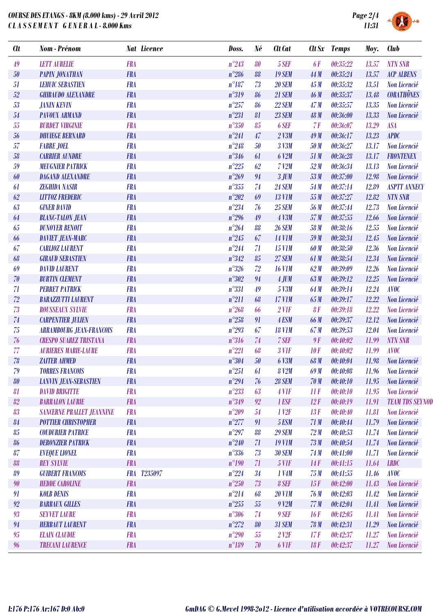

DG  $H$ 

| $n^{\circ}243$<br><b>NTN SNR</b><br>49<br><b>LETT AURELIE</b><br><b>FRA</b><br>80<br>5 SEF<br><b>6F</b><br>00:35:22<br>13.57<br><b>FRA</b><br>$n^{\circ}286$<br>50<br><b>PAPIN JONATHAN</b><br>88<br><b>19 SEM</b><br>44 M<br>00:35:24<br><b>ACP ALBENS</b><br>13.57<br><b>FRA</b><br>$n^{\circ}187$<br>73<br>51<br><b>LEHUIC SEBASTIEN</b><br><b>20 SEM</b><br>45M<br>00:35:32<br>13.51<br>Non Licencié<br><b>CORATHÔNES</b><br>52<br>$n^{\circ}319$<br><b>GHIBAUDO ALEXANDRE</b><br><b>FRA</b><br><b>21 SEM</b><br>46 M<br>00:35:37<br>13.48<br>86<br>53<br><b>FRA</b><br>$n^{\circ}257$<br><b>22 SEM</b><br>47M<br>13.35<br>Non Licencié<br><b>JANIN KEVIN</b><br>86<br>00:35:57<br>$n^{\circ}231$<br><b>PAVOUX ARMAND</b><br><b>FRA</b><br>00:36:00<br>13.33<br>54<br>81<br><b>23 SEM</b><br>48 M<br>Non Licencié<br>55<br>$n^{\circ}350$<br><b>FRA</b><br>6 SEF<br>13.29<br><b>ASA</b><br><b>BURDET VIRGINIE</b><br>85<br>7F<br>00:36:07<br><b>FRA</b><br>$n^{\circ}241$<br>47<br>$2$ V3M<br>00:36:17<br>13.23<br><b>APDC</b><br>56<br><b>DHUIEGE BERNARD</b><br>49M<br>57<br><b>FRA</b><br>$n^{\circ}248$<br><b>FABRE JOEL</b><br>50<br>3 V3M<br>50 M<br>00:36:27<br>13.17<br>Non Licencié<br>$n^{\circ}346$<br>58<br><b>CARRIER AUNDRE</b><br><b>FRA</b><br>6 V2M<br>51 M<br>13.17<br><b>FRONTENEX</b><br>61<br>00:36:28<br><b>FRA</b><br>$n^{\circ}225$<br>59<br><b>MEUGNIER PATRICK</b><br>62<br>$7$ V <sub>2</sub> M<br>52M<br>00:36:34<br>13.13<br><b>Non Licencié</b><br>$n^{\circ}269$<br><b>DAGAND ALEXANDRE</b><br><b>FRA</b><br>00:37:00<br>Non Licencié<br>60<br>94<br>$3$ JUM<br>53M<br>12.98<br>$n^{\circ}355$<br><b>FRA</b><br><b>24 SEM</b><br>00:37:14<br><b>ASPTT ANNECY</b><br><b>ZEGHIDA NASIR</b><br>74<br>54 M<br>12.89<br>61<br><b>FRA</b><br>$n^{\circ}202$<br>62<br>00:37:27<br>12.82<br><b>NTN SNR</b><br><b>LITTOZ FREDERIC</b><br>69<br><b>13 V1M</b><br>55 M<br>$n^{\circ}234$<br>63<br><b>GINER DAVID</b><br><b>FRA</b><br>76<br>00:37:44<br>12.73<br><b>25 SEM</b><br>56 M<br><b>Non Licencié</b><br>$n^{\circ}296$<br><b>FRA</b><br><b>4 V3M</b><br>57M<br>00:37:55<br>64<br><b>BLANC-TALON JEAN</b><br>49<br>12.66<br>Non Licencié<br>65<br>$n^{\circ}264$<br><b>DUNOYER BENOIT</b><br><b>FRA</b><br><b>26 SEM</b><br>00:38:16<br>88<br>58 M<br>12.55<br><b>Non Licencié</b><br><b>FRA</b><br>$n^{\circ}245$<br>00:38:34<br><b>DAVIET JEAN-MARC</b><br>67<br><b>14 V1M</b><br>59 M<br>12.45<br>Non Licencié<br>66<br><b>FRA</b><br>$n^{\circ}244$<br>67<br><b>15 V1M</b><br>00:38:50<br>12.36<br><b>CARLIOZ LAURENT</b><br>71<br>60 M<br>Non Licencié<br>$n^{\circ}342$<br><b>FRA</b><br>68<br><b>GIRAUD SEBASTIEN</b><br>85<br><b>27 SEM</b><br>61 M<br>00:38:54<br>12.34<br>Non Licencié<br>$n^{\circ}326$<br>72<br>69<br><b>DAVID LAURENT</b><br><b>FRA</b><br><b>16 V1M</b><br>62M<br>00:39:09<br>12.26<br>Non Licencié<br><b>FRA</b><br>$n^{\circ}302$<br>70<br><b>BURTIN CLEMENT</b><br>$4$ JUM<br>63M<br>00:39:12<br>12.25<br>94<br>Non Licencié<br>$n^{\circ}331$<br>71<br><b>PERRET PATRICK</b><br><b>FRA</b><br>5 V3M<br>00:39:14<br>49<br>64 M<br>12.24<br><b>AVOC</b><br>72<br><b>BARAZZUTTI LAURENT</b><br><b>FRA</b><br>$n^{\circ}211$<br><b>17 V1M</b><br>00:39:17<br>12.22<br>68<br>65 M<br>Non Licencié<br><b>FRA</b><br>$n^{\circ}268$<br>73<br><b>ROUSSEAUX SYLVIE</b><br>$2$ V1F<br>8F<br>00:39:18<br>12.22<br>Non Licencié<br>66<br>$n^{\circ}258$<br>74<br><b>FRA</b><br><b>CARPENTIER JULIEN</b><br>91<br>4 ESM<br><b>66 M</b><br>00:39:37<br>12.12<br>Non Licencié<br>$n^{\circ}293$<br>75<br><b>FRA</b><br>67<br><b>18 V1M</b><br>67 M<br>00:39:53<br><b>ARRAMBOURG JEAN-FRANCOIS</b><br>12.04<br><b>Non Licencié</b><br>$n^{\circ}316$<br>76<br><b>CRESPO SUAREZ TRISTANA</b><br><b>FRA</b><br>74<br>7 SEF<br>9F<br><b>NTN SNR</b><br>00:40:02<br>11.99<br>77<br>$n^{\circ}221$<br><b>AURIERES MARIE-LAURE</b><br><b>AVOC</b><br><b>FRA</b><br>68<br>$3$ V1F<br>10F<br>00:40:02<br>11.99<br>$n^{\circ}304$<br>78<br><b>ZAITER AHMED</b><br><b>FRA</b><br>50<br>6 V3M<br>68 M<br>00:40:04<br>11.98<br>Non Licencié<br>$n^{\circ}251$<br><b>TORRES FRANCOIS</b><br>79<br><b>FRA</b><br><b>8 V2M</b><br>69 M<br>0.40:08<br>11.96<br>Non Licencié<br>61<br><b>FRA</b><br>$n^{\circ}294$<br>80<br><b>LANVIN JEAN-SEBASTIEN</b><br><b>28 SEM</b><br>70M<br>00:40:10<br>11.95<br>Non Licencié<br>76<br>$n^{\circ}233$<br><b>FRA</b><br><b>DAVID BRIGITTE</b><br>$4$ V1F<br>IIF<br>00:40:10<br>11.95<br>Non Licencié<br>81<br>63<br>82<br><b>FRA</b><br>$n^{\circ}349$<br><b>BARRALON LAURIE</b><br>92<br>1 ESF<br>12F<br>00:40:19<br>11.91<br>83<br>$n^{\circ}209$<br><b>SANCERNE PRALLET JEANNINE</b><br><b>FRA</b><br>1 <sup>1</sup><br>13F<br>Non Licencié<br>54<br>00:40:40<br>11.81<br>$n^{\circ}277$<br><b>FRA</b><br>5 ESM<br>71M<br>84<br><b>POTTIER CHRISTOPHER</b><br>91<br>00:40:44<br>11.79<br>Non Licencié<br>85<br><b>COUDURIER PATRICE</b><br><b>FRA</b><br>$n^{\circ}297$<br><b>29 SEM</b><br>88<br>72M<br>00:40:53<br>Non Licencié<br>11.74<br><b>FRA</b><br>$n^{\circ}240$<br><b>DERONZIER PATRICK</b><br><b>19 V1M</b><br>73M<br>11.74<br>Non Licencié<br>86<br>71<br>00:40:54 | <b>Clt</b> | <b>Nom</b> - Prénom  | <b>Nat Licence</b> | Doss.          | Né | Clt Cat       | $\mathbf{C}$ <i>lt</i> $\mathbf{S}$ <i>x</i> | <b>Temps</b> | Moy.  | <b>Club</b>            |
|------------------------------------------------------------------------------------------------------------------------------------------------------------------------------------------------------------------------------------------------------------------------------------------------------------------------------------------------------------------------------------------------------------------------------------------------------------------------------------------------------------------------------------------------------------------------------------------------------------------------------------------------------------------------------------------------------------------------------------------------------------------------------------------------------------------------------------------------------------------------------------------------------------------------------------------------------------------------------------------------------------------------------------------------------------------------------------------------------------------------------------------------------------------------------------------------------------------------------------------------------------------------------------------------------------------------------------------------------------------------------------------------------------------------------------------------------------------------------------------------------------------------------------------------------------------------------------------------------------------------------------------------------------------------------------------------------------------------------------------------------------------------------------------------------------------------------------------------------------------------------------------------------------------------------------------------------------------------------------------------------------------------------------------------------------------------------------------------------------------------------------------------------------------------------------------------------------------------------------------------------------------------------------------------------------------------------------------------------------------------------------------------------------------------------------------------------------------------------------------------------------------------------------------------------------------------------------------------------------------------------------------------------------------------------------------------------------------------------------------------------------------------------------------------------------------------------------------------------------------------------------------------------------------------------------------------------------------------------------------------------------------------------------------------------------------------------------------------------------------------------------------------------------------------------------------------------------------------------------------------------------------------------------------------------------------------------------------------------------------------------------------------------------------------------------------------------------------------------------------------------------------------------------------------------------------------------------------------------------------------------------------------------------------------------------------------------------------------------------------------------------------------------------------------------------------------------------------------------------------------------------------------------------------------------------------------------------------------------------------------------------------------------------------------------------------------------------------------------------------------------------------------------------------------------------------------------------------------------------------------------------------------------------------------------------------------------------------------------------------------------------------------------------------------------------------------------------------------------------------------------------------------------------------------------------------------------------------------------------------------------------------------------------------------------------------------------------------------------------------------------------------------------------------------------------------------------------------------------------------------------------------------------------------------------------------------------------------------------------------------------------------------------------------------------------------------------------------------------------------------------------------------------------|------------|----------------------|--------------------|----------------|----|---------------|----------------------------------------------|--------------|-------|------------------------|
|                                                                                                                                                                                                                                                                                                                                                                                                                                                                                                                                                                                                                                                                                                                                                                                                                                                                                                                                                                                                                                                                                                                                                                                                                                                                                                                                                                                                                                                                                                                                                                                                                                                                                                                                                                                                                                                                                                                                                                                                                                                                                                                                                                                                                                                                                                                                                                                                                                                                                                                                                                                                                                                                                                                                                                                                                                                                                                                                                                                                                                                                                                                                                                                                                                                                                                                                                                                                                                                                                                                                                                                                                                                                                                                                                                                                                                                                                                                                                                                                                                                                                                                                                                                                                                                                                                                                                                                                                                                                                                                                                                                                                                                                                                                                                                                                                                                                                                                                                                                                                                                                                                                                                            |            |                      |                    |                |    |               |                                              |              |       |                        |
|                                                                                                                                                                                                                                                                                                                                                                                                                                                                                                                                                                                                                                                                                                                                                                                                                                                                                                                                                                                                                                                                                                                                                                                                                                                                                                                                                                                                                                                                                                                                                                                                                                                                                                                                                                                                                                                                                                                                                                                                                                                                                                                                                                                                                                                                                                                                                                                                                                                                                                                                                                                                                                                                                                                                                                                                                                                                                                                                                                                                                                                                                                                                                                                                                                                                                                                                                                                                                                                                                                                                                                                                                                                                                                                                                                                                                                                                                                                                                                                                                                                                                                                                                                                                                                                                                                                                                                                                                                                                                                                                                                                                                                                                                                                                                                                                                                                                                                                                                                                                                                                                                                                                                            |            |                      |                    |                |    |               |                                              |              |       |                        |
|                                                                                                                                                                                                                                                                                                                                                                                                                                                                                                                                                                                                                                                                                                                                                                                                                                                                                                                                                                                                                                                                                                                                                                                                                                                                                                                                                                                                                                                                                                                                                                                                                                                                                                                                                                                                                                                                                                                                                                                                                                                                                                                                                                                                                                                                                                                                                                                                                                                                                                                                                                                                                                                                                                                                                                                                                                                                                                                                                                                                                                                                                                                                                                                                                                                                                                                                                                                                                                                                                                                                                                                                                                                                                                                                                                                                                                                                                                                                                                                                                                                                                                                                                                                                                                                                                                                                                                                                                                                                                                                                                                                                                                                                                                                                                                                                                                                                                                                                                                                                                                                                                                                                                            |            |                      |                    |                |    |               |                                              |              |       |                        |
|                                                                                                                                                                                                                                                                                                                                                                                                                                                                                                                                                                                                                                                                                                                                                                                                                                                                                                                                                                                                                                                                                                                                                                                                                                                                                                                                                                                                                                                                                                                                                                                                                                                                                                                                                                                                                                                                                                                                                                                                                                                                                                                                                                                                                                                                                                                                                                                                                                                                                                                                                                                                                                                                                                                                                                                                                                                                                                                                                                                                                                                                                                                                                                                                                                                                                                                                                                                                                                                                                                                                                                                                                                                                                                                                                                                                                                                                                                                                                                                                                                                                                                                                                                                                                                                                                                                                                                                                                                                                                                                                                                                                                                                                                                                                                                                                                                                                                                                                                                                                                                                                                                                                                            |            |                      |                    |                |    |               |                                              |              |       |                        |
|                                                                                                                                                                                                                                                                                                                                                                                                                                                                                                                                                                                                                                                                                                                                                                                                                                                                                                                                                                                                                                                                                                                                                                                                                                                                                                                                                                                                                                                                                                                                                                                                                                                                                                                                                                                                                                                                                                                                                                                                                                                                                                                                                                                                                                                                                                                                                                                                                                                                                                                                                                                                                                                                                                                                                                                                                                                                                                                                                                                                                                                                                                                                                                                                                                                                                                                                                                                                                                                                                                                                                                                                                                                                                                                                                                                                                                                                                                                                                                                                                                                                                                                                                                                                                                                                                                                                                                                                                                                                                                                                                                                                                                                                                                                                                                                                                                                                                                                                                                                                                                                                                                                                                            |            |                      |                    |                |    |               |                                              |              |       |                        |
|                                                                                                                                                                                                                                                                                                                                                                                                                                                                                                                                                                                                                                                                                                                                                                                                                                                                                                                                                                                                                                                                                                                                                                                                                                                                                                                                                                                                                                                                                                                                                                                                                                                                                                                                                                                                                                                                                                                                                                                                                                                                                                                                                                                                                                                                                                                                                                                                                                                                                                                                                                                                                                                                                                                                                                                                                                                                                                                                                                                                                                                                                                                                                                                                                                                                                                                                                                                                                                                                                                                                                                                                                                                                                                                                                                                                                                                                                                                                                                                                                                                                                                                                                                                                                                                                                                                                                                                                                                                                                                                                                                                                                                                                                                                                                                                                                                                                                                                                                                                                                                                                                                                                                            |            |                      |                    |                |    |               |                                              |              |       |                        |
|                                                                                                                                                                                                                                                                                                                                                                                                                                                                                                                                                                                                                                                                                                                                                                                                                                                                                                                                                                                                                                                                                                                                                                                                                                                                                                                                                                                                                                                                                                                                                                                                                                                                                                                                                                                                                                                                                                                                                                                                                                                                                                                                                                                                                                                                                                                                                                                                                                                                                                                                                                                                                                                                                                                                                                                                                                                                                                                                                                                                                                                                                                                                                                                                                                                                                                                                                                                                                                                                                                                                                                                                                                                                                                                                                                                                                                                                                                                                                                                                                                                                                                                                                                                                                                                                                                                                                                                                                                                                                                                                                                                                                                                                                                                                                                                                                                                                                                                                                                                                                                                                                                                                                            |            |                      |                    |                |    |               |                                              |              |       |                        |
|                                                                                                                                                                                                                                                                                                                                                                                                                                                                                                                                                                                                                                                                                                                                                                                                                                                                                                                                                                                                                                                                                                                                                                                                                                                                                                                                                                                                                                                                                                                                                                                                                                                                                                                                                                                                                                                                                                                                                                                                                                                                                                                                                                                                                                                                                                                                                                                                                                                                                                                                                                                                                                                                                                                                                                                                                                                                                                                                                                                                                                                                                                                                                                                                                                                                                                                                                                                                                                                                                                                                                                                                                                                                                                                                                                                                                                                                                                                                                                                                                                                                                                                                                                                                                                                                                                                                                                                                                                                                                                                                                                                                                                                                                                                                                                                                                                                                                                                                                                                                                                                                                                                                                            |            |                      |                    |                |    |               |                                              |              |       |                        |
|                                                                                                                                                                                                                                                                                                                                                                                                                                                                                                                                                                                                                                                                                                                                                                                                                                                                                                                                                                                                                                                                                                                                                                                                                                                                                                                                                                                                                                                                                                                                                                                                                                                                                                                                                                                                                                                                                                                                                                                                                                                                                                                                                                                                                                                                                                                                                                                                                                                                                                                                                                                                                                                                                                                                                                                                                                                                                                                                                                                                                                                                                                                                                                                                                                                                                                                                                                                                                                                                                                                                                                                                                                                                                                                                                                                                                                                                                                                                                                                                                                                                                                                                                                                                                                                                                                                                                                                                                                                                                                                                                                                                                                                                                                                                                                                                                                                                                                                                                                                                                                                                                                                                                            |            |                      |                    |                |    |               |                                              |              |       |                        |
|                                                                                                                                                                                                                                                                                                                                                                                                                                                                                                                                                                                                                                                                                                                                                                                                                                                                                                                                                                                                                                                                                                                                                                                                                                                                                                                                                                                                                                                                                                                                                                                                                                                                                                                                                                                                                                                                                                                                                                                                                                                                                                                                                                                                                                                                                                                                                                                                                                                                                                                                                                                                                                                                                                                                                                                                                                                                                                                                                                                                                                                                                                                                                                                                                                                                                                                                                                                                                                                                                                                                                                                                                                                                                                                                                                                                                                                                                                                                                                                                                                                                                                                                                                                                                                                                                                                                                                                                                                                                                                                                                                                                                                                                                                                                                                                                                                                                                                                                                                                                                                                                                                                                                            |            |                      |                    |                |    |               |                                              |              |       |                        |
|                                                                                                                                                                                                                                                                                                                                                                                                                                                                                                                                                                                                                                                                                                                                                                                                                                                                                                                                                                                                                                                                                                                                                                                                                                                                                                                                                                                                                                                                                                                                                                                                                                                                                                                                                                                                                                                                                                                                                                                                                                                                                                                                                                                                                                                                                                                                                                                                                                                                                                                                                                                                                                                                                                                                                                                                                                                                                                                                                                                                                                                                                                                                                                                                                                                                                                                                                                                                                                                                                                                                                                                                                                                                                                                                                                                                                                                                                                                                                                                                                                                                                                                                                                                                                                                                                                                                                                                                                                                                                                                                                                                                                                                                                                                                                                                                                                                                                                                                                                                                                                                                                                                                                            |            |                      |                    |                |    |               |                                              |              |       |                        |
|                                                                                                                                                                                                                                                                                                                                                                                                                                                                                                                                                                                                                                                                                                                                                                                                                                                                                                                                                                                                                                                                                                                                                                                                                                                                                                                                                                                                                                                                                                                                                                                                                                                                                                                                                                                                                                                                                                                                                                                                                                                                                                                                                                                                                                                                                                                                                                                                                                                                                                                                                                                                                                                                                                                                                                                                                                                                                                                                                                                                                                                                                                                                                                                                                                                                                                                                                                                                                                                                                                                                                                                                                                                                                                                                                                                                                                                                                                                                                                                                                                                                                                                                                                                                                                                                                                                                                                                                                                                                                                                                                                                                                                                                                                                                                                                                                                                                                                                                                                                                                                                                                                                                                            |            |                      |                    |                |    |               |                                              |              |       |                        |
|                                                                                                                                                                                                                                                                                                                                                                                                                                                                                                                                                                                                                                                                                                                                                                                                                                                                                                                                                                                                                                                                                                                                                                                                                                                                                                                                                                                                                                                                                                                                                                                                                                                                                                                                                                                                                                                                                                                                                                                                                                                                                                                                                                                                                                                                                                                                                                                                                                                                                                                                                                                                                                                                                                                                                                                                                                                                                                                                                                                                                                                                                                                                                                                                                                                                                                                                                                                                                                                                                                                                                                                                                                                                                                                                                                                                                                                                                                                                                                                                                                                                                                                                                                                                                                                                                                                                                                                                                                                                                                                                                                                                                                                                                                                                                                                                                                                                                                                                                                                                                                                                                                                                                            |            |                      |                    |                |    |               |                                              |              |       |                        |
|                                                                                                                                                                                                                                                                                                                                                                                                                                                                                                                                                                                                                                                                                                                                                                                                                                                                                                                                                                                                                                                                                                                                                                                                                                                                                                                                                                                                                                                                                                                                                                                                                                                                                                                                                                                                                                                                                                                                                                                                                                                                                                                                                                                                                                                                                                                                                                                                                                                                                                                                                                                                                                                                                                                                                                                                                                                                                                                                                                                                                                                                                                                                                                                                                                                                                                                                                                                                                                                                                                                                                                                                                                                                                                                                                                                                                                                                                                                                                                                                                                                                                                                                                                                                                                                                                                                                                                                                                                                                                                                                                                                                                                                                                                                                                                                                                                                                                                                                                                                                                                                                                                                                                            |            |                      |                    |                |    |               |                                              |              |       |                        |
|                                                                                                                                                                                                                                                                                                                                                                                                                                                                                                                                                                                                                                                                                                                                                                                                                                                                                                                                                                                                                                                                                                                                                                                                                                                                                                                                                                                                                                                                                                                                                                                                                                                                                                                                                                                                                                                                                                                                                                                                                                                                                                                                                                                                                                                                                                                                                                                                                                                                                                                                                                                                                                                                                                                                                                                                                                                                                                                                                                                                                                                                                                                                                                                                                                                                                                                                                                                                                                                                                                                                                                                                                                                                                                                                                                                                                                                                                                                                                                                                                                                                                                                                                                                                                                                                                                                                                                                                                                                                                                                                                                                                                                                                                                                                                                                                                                                                                                                                                                                                                                                                                                                                                            |            |                      |                    |                |    |               |                                              |              |       |                        |
|                                                                                                                                                                                                                                                                                                                                                                                                                                                                                                                                                                                                                                                                                                                                                                                                                                                                                                                                                                                                                                                                                                                                                                                                                                                                                                                                                                                                                                                                                                                                                                                                                                                                                                                                                                                                                                                                                                                                                                                                                                                                                                                                                                                                                                                                                                                                                                                                                                                                                                                                                                                                                                                                                                                                                                                                                                                                                                                                                                                                                                                                                                                                                                                                                                                                                                                                                                                                                                                                                                                                                                                                                                                                                                                                                                                                                                                                                                                                                                                                                                                                                                                                                                                                                                                                                                                                                                                                                                                                                                                                                                                                                                                                                                                                                                                                                                                                                                                                                                                                                                                                                                                                                            |            |                      |                    |                |    |               |                                              |              |       |                        |
|                                                                                                                                                                                                                                                                                                                                                                                                                                                                                                                                                                                                                                                                                                                                                                                                                                                                                                                                                                                                                                                                                                                                                                                                                                                                                                                                                                                                                                                                                                                                                                                                                                                                                                                                                                                                                                                                                                                                                                                                                                                                                                                                                                                                                                                                                                                                                                                                                                                                                                                                                                                                                                                                                                                                                                                                                                                                                                                                                                                                                                                                                                                                                                                                                                                                                                                                                                                                                                                                                                                                                                                                                                                                                                                                                                                                                                                                                                                                                                                                                                                                                                                                                                                                                                                                                                                                                                                                                                                                                                                                                                                                                                                                                                                                                                                                                                                                                                                                                                                                                                                                                                                                                            |            |                      |                    |                |    |               |                                              |              |       |                        |
|                                                                                                                                                                                                                                                                                                                                                                                                                                                                                                                                                                                                                                                                                                                                                                                                                                                                                                                                                                                                                                                                                                                                                                                                                                                                                                                                                                                                                                                                                                                                                                                                                                                                                                                                                                                                                                                                                                                                                                                                                                                                                                                                                                                                                                                                                                                                                                                                                                                                                                                                                                                                                                                                                                                                                                                                                                                                                                                                                                                                                                                                                                                                                                                                                                                                                                                                                                                                                                                                                                                                                                                                                                                                                                                                                                                                                                                                                                                                                                                                                                                                                                                                                                                                                                                                                                                                                                                                                                                                                                                                                                                                                                                                                                                                                                                                                                                                                                                                                                                                                                                                                                                                                            |            |                      |                    |                |    |               |                                              |              |       |                        |
|                                                                                                                                                                                                                                                                                                                                                                                                                                                                                                                                                                                                                                                                                                                                                                                                                                                                                                                                                                                                                                                                                                                                                                                                                                                                                                                                                                                                                                                                                                                                                                                                                                                                                                                                                                                                                                                                                                                                                                                                                                                                                                                                                                                                                                                                                                                                                                                                                                                                                                                                                                                                                                                                                                                                                                                                                                                                                                                                                                                                                                                                                                                                                                                                                                                                                                                                                                                                                                                                                                                                                                                                                                                                                                                                                                                                                                                                                                                                                                                                                                                                                                                                                                                                                                                                                                                                                                                                                                                                                                                                                                                                                                                                                                                                                                                                                                                                                                                                                                                                                                                                                                                                                            |            |                      |                    |                |    |               |                                              |              |       |                        |
|                                                                                                                                                                                                                                                                                                                                                                                                                                                                                                                                                                                                                                                                                                                                                                                                                                                                                                                                                                                                                                                                                                                                                                                                                                                                                                                                                                                                                                                                                                                                                                                                                                                                                                                                                                                                                                                                                                                                                                                                                                                                                                                                                                                                                                                                                                                                                                                                                                                                                                                                                                                                                                                                                                                                                                                                                                                                                                                                                                                                                                                                                                                                                                                                                                                                                                                                                                                                                                                                                                                                                                                                                                                                                                                                                                                                                                                                                                                                                                                                                                                                                                                                                                                                                                                                                                                                                                                                                                                                                                                                                                                                                                                                                                                                                                                                                                                                                                                                                                                                                                                                                                                                                            |            |                      |                    |                |    |               |                                              |              |       |                        |
|                                                                                                                                                                                                                                                                                                                                                                                                                                                                                                                                                                                                                                                                                                                                                                                                                                                                                                                                                                                                                                                                                                                                                                                                                                                                                                                                                                                                                                                                                                                                                                                                                                                                                                                                                                                                                                                                                                                                                                                                                                                                                                                                                                                                                                                                                                                                                                                                                                                                                                                                                                                                                                                                                                                                                                                                                                                                                                                                                                                                                                                                                                                                                                                                                                                                                                                                                                                                                                                                                                                                                                                                                                                                                                                                                                                                                                                                                                                                                                                                                                                                                                                                                                                                                                                                                                                                                                                                                                                                                                                                                                                                                                                                                                                                                                                                                                                                                                                                                                                                                                                                                                                                                            |            |                      |                    |                |    |               |                                              |              |       |                        |
|                                                                                                                                                                                                                                                                                                                                                                                                                                                                                                                                                                                                                                                                                                                                                                                                                                                                                                                                                                                                                                                                                                                                                                                                                                                                                                                                                                                                                                                                                                                                                                                                                                                                                                                                                                                                                                                                                                                                                                                                                                                                                                                                                                                                                                                                                                                                                                                                                                                                                                                                                                                                                                                                                                                                                                                                                                                                                                                                                                                                                                                                                                                                                                                                                                                                                                                                                                                                                                                                                                                                                                                                                                                                                                                                                                                                                                                                                                                                                                                                                                                                                                                                                                                                                                                                                                                                                                                                                                                                                                                                                                                                                                                                                                                                                                                                                                                                                                                                                                                                                                                                                                                                                            |            |                      |                    |                |    |               |                                              |              |       |                        |
|                                                                                                                                                                                                                                                                                                                                                                                                                                                                                                                                                                                                                                                                                                                                                                                                                                                                                                                                                                                                                                                                                                                                                                                                                                                                                                                                                                                                                                                                                                                                                                                                                                                                                                                                                                                                                                                                                                                                                                                                                                                                                                                                                                                                                                                                                                                                                                                                                                                                                                                                                                                                                                                                                                                                                                                                                                                                                                                                                                                                                                                                                                                                                                                                                                                                                                                                                                                                                                                                                                                                                                                                                                                                                                                                                                                                                                                                                                                                                                                                                                                                                                                                                                                                                                                                                                                                                                                                                                                                                                                                                                                                                                                                                                                                                                                                                                                                                                                                                                                                                                                                                                                                                            |            |                      |                    |                |    |               |                                              |              |       |                        |
|                                                                                                                                                                                                                                                                                                                                                                                                                                                                                                                                                                                                                                                                                                                                                                                                                                                                                                                                                                                                                                                                                                                                                                                                                                                                                                                                                                                                                                                                                                                                                                                                                                                                                                                                                                                                                                                                                                                                                                                                                                                                                                                                                                                                                                                                                                                                                                                                                                                                                                                                                                                                                                                                                                                                                                                                                                                                                                                                                                                                                                                                                                                                                                                                                                                                                                                                                                                                                                                                                                                                                                                                                                                                                                                                                                                                                                                                                                                                                                                                                                                                                                                                                                                                                                                                                                                                                                                                                                                                                                                                                                                                                                                                                                                                                                                                                                                                                                                                                                                                                                                                                                                                                            |            |                      |                    |                |    |               |                                              |              |       |                        |
|                                                                                                                                                                                                                                                                                                                                                                                                                                                                                                                                                                                                                                                                                                                                                                                                                                                                                                                                                                                                                                                                                                                                                                                                                                                                                                                                                                                                                                                                                                                                                                                                                                                                                                                                                                                                                                                                                                                                                                                                                                                                                                                                                                                                                                                                                                                                                                                                                                                                                                                                                                                                                                                                                                                                                                                                                                                                                                                                                                                                                                                                                                                                                                                                                                                                                                                                                                                                                                                                                                                                                                                                                                                                                                                                                                                                                                                                                                                                                                                                                                                                                                                                                                                                                                                                                                                                                                                                                                                                                                                                                                                                                                                                                                                                                                                                                                                                                                                                                                                                                                                                                                                                                            |            |                      |                    |                |    |               |                                              |              |       |                        |
|                                                                                                                                                                                                                                                                                                                                                                                                                                                                                                                                                                                                                                                                                                                                                                                                                                                                                                                                                                                                                                                                                                                                                                                                                                                                                                                                                                                                                                                                                                                                                                                                                                                                                                                                                                                                                                                                                                                                                                                                                                                                                                                                                                                                                                                                                                                                                                                                                                                                                                                                                                                                                                                                                                                                                                                                                                                                                                                                                                                                                                                                                                                                                                                                                                                                                                                                                                                                                                                                                                                                                                                                                                                                                                                                                                                                                                                                                                                                                                                                                                                                                                                                                                                                                                                                                                                                                                                                                                                                                                                                                                                                                                                                                                                                                                                                                                                                                                                                                                                                                                                                                                                                                            |            |                      |                    |                |    |               |                                              |              |       |                        |
|                                                                                                                                                                                                                                                                                                                                                                                                                                                                                                                                                                                                                                                                                                                                                                                                                                                                                                                                                                                                                                                                                                                                                                                                                                                                                                                                                                                                                                                                                                                                                                                                                                                                                                                                                                                                                                                                                                                                                                                                                                                                                                                                                                                                                                                                                                                                                                                                                                                                                                                                                                                                                                                                                                                                                                                                                                                                                                                                                                                                                                                                                                                                                                                                                                                                                                                                                                                                                                                                                                                                                                                                                                                                                                                                                                                                                                                                                                                                                                                                                                                                                                                                                                                                                                                                                                                                                                                                                                                                                                                                                                                                                                                                                                                                                                                                                                                                                                                                                                                                                                                                                                                                                            |            |                      |                    |                |    |               |                                              |              |       |                        |
|                                                                                                                                                                                                                                                                                                                                                                                                                                                                                                                                                                                                                                                                                                                                                                                                                                                                                                                                                                                                                                                                                                                                                                                                                                                                                                                                                                                                                                                                                                                                                                                                                                                                                                                                                                                                                                                                                                                                                                                                                                                                                                                                                                                                                                                                                                                                                                                                                                                                                                                                                                                                                                                                                                                                                                                                                                                                                                                                                                                                                                                                                                                                                                                                                                                                                                                                                                                                                                                                                                                                                                                                                                                                                                                                                                                                                                                                                                                                                                                                                                                                                                                                                                                                                                                                                                                                                                                                                                                                                                                                                                                                                                                                                                                                                                                                                                                                                                                                                                                                                                                                                                                                                            |            |                      |                    |                |    |               |                                              |              |       |                        |
|                                                                                                                                                                                                                                                                                                                                                                                                                                                                                                                                                                                                                                                                                                                                                                                                                                                                                                                                                                                                                                                                                                                                                                                                                                                                                                                                                                                                                                                                                                                                                                                                                                                                                                                                                                                                                                                                                                                                                                                                                                                                                                                                                                                                                                                                                                                                                                                                                                                                                                                                                                                                                                                                                                                                                                                                                                                                                                                                                                                                                                                                                                                                                                                                                                                                                                                                                                                                                                                                                                                                                                                                                                                                                                                                                                                                                                                                                                                                                                                                                                                                                                                                                                                                                                                                                                                                                                                                                                                                                                                                                                                                                                                                                                                                                                                                                                                                                                                                                                                                                                                                                                                                                            |            |                      |                    |                |    |               |                                              |              |       |                        |
|                                                                                                                                                                                                                                                                                                                                                                                                                                                                                                                                                                                                                                                                                                                                                                                                                                                                                                                                                                                                                                                                                                                                                                                                                                                                                                                                                                                                                                                                                                                                                                                                                                                                                                                                                                                                                                                                                                                                                                                                                                                                                                                                                                                                                                                                                                                                                                                                                                                                                                                                                                                                                                                                                                                                                                                                                                                                                                                                                                                                                                                                                                                                                                                                                                                                                                                                                                                                                                                                                                                                                                                                                                                                                                                                                                                                                                                                                                                                                                                                                                                                                                                                                                                                                                                                                                                                                                                                                                                                                                                                                                                                                                                                                                                                                                                                                                                                                                                                                                                                                                                                                                                                                            |            |                      |                    |                |    |               |                                              |              |       |                        |
|                                                                                                                                                                                                                                                                                                                                                                                                                                                                                                                                                                                                                                                                                                                                                                                                                                                                                                                                                                                                                                                                                                                                                                                                                                                                                                                                                                                                                                                                                                                                                                                                                                                                                                                                                                                                                                                                                                                                                                                                                                                                                                                                                                                                                                                                                                                                                                                                                                                                                                                                                                                                                                                                                                                                                                                                                                                                                                                                                                                                                                                                                                                                                                                                                                                                                                                                                                                                                                                                                                                                                                                                                                                                                                                                                                                                                                                                                                                                                                                                                                                                                                                                                                                                                                                                                                                                                                                                                                                                                                                                                                                                                                                                                                                                                                                                                                                                                                                                                                                                                                                                                                                                                            |            |                      |                    |                |    |               |                                              |              |       |                        |
|                                                                                                                                                                                                                                                                                                                                                                                                                                                                                                                                                                                                                                                                                                                                                                                                                                                                                                                                                                                                                                                                                                                                                                                                                                                                                                                                                                                                                                                                                                                                                                                                                                                                                                                                                                                                                                                                                                                                                                                                                                                                                                                                                                                                                                                                                                                                                                                                                                                                                                                                                                                                                                                                                                                                                                                                                                                                                                                                                                                                                                                                                                                                                                                                                                                                                                                                                                                                                                                                                                                                                                                                                                                                                                                                                                                                                                                                                                                                                                                                                                                                                                                                                                                                                                                                                                                                                                                                                                                                                                                                                                                                                                                                                                                                                                                                                                                                                                                                                                                                                                                                                                                                                            |            |                      |                    |                |    |               |                                              |              |       |                        |
|                                                                                                                                                                                                                                                                                                                                                                                                                                                                                                                                                                                                                                                                                                                                                                                                                                                                                                                                                                                                                                                                                                                                                                                                                                                                                                                                                                                                                                                                                                                                                                                                                                                                                                                                                                                                                                                                                                                                                                                                                                                                                                                                                                                                                                                                                                                                                                                                                                                                                                                                                                                                                                                                                                                                                                                                                                                                                                                                                                                                                                                                                                                                                                                                                                                                                                                                                                                                                                                                                                                                                                                                                                                                                                                                                                                                                                                                                                                                                                                                                                                                                                                                                                                                                                                                                                                                                                                                                                                                                                                                                                                                                                                                                                                                                                                                                                                                                                                                                                                                                                                                                                                                                            |            |                      |                    |                |    |               |                                              |              |       |                        |
|                                                                                                                                                                                                                                                                                                                                                                                                                                                                                                                                                                                                                                                                                                                                                                                                                                                                                                                                                                                                                                                                                                                                                                                                                                                                                                                                                                                                                                                                                                                                                                                                                                                                                                                                                                                                                                                                                                                                                                                                                                                                                                                                                                                                                                                                                                                                                                                                                                                                                                                                                                                                                                                                                                                                                                                                                                                                                                                                                                                                                                                                                                                                                                                                                                                                                                                                                                                                                                                                                                                                                                                                                                                                                                                                                                                                                                                                                                                                                                                                                                                                                                                                                                                                                                                                                                                                                                                                                                                                                                                                                                                                                                                                                                                                                                                                                                                                                                                                                                                                                                                                                                                                                            |            |                      |                    |                |    |               |                                              |              |       | <b>TEAM TDS SEYNOD</b> |
|                                                                                                                                                                                                                                                                                                                                                                                                                                                                                                                                                                                                                                                                                                                                                                                                                                                                                                                                                                                                                                                                                                                                                                                                                                                                                                                                                                                                                                                                                                                                                                                                                                                                                                                                                                                                                                                                                                                                                                                                                                                                                                                                                                                                                                                                                                                                                                                                                                                                                                                                                                                                                                                                                                                                                                                                                                                                                                                                                                                                                                                                                                                                                                                                                                                                                                                                                                                                                                                                                                                                                                                                                                                                                                                                                                                                                                                                                                                                                                                                                                                                                                                                                                                                                                                                                                                                                                                                                                                                                                                                                                                                                                                                                                                                                                                                                                                                                                                                                                                                                                                                                                                                                            |            |                      |                    |                |    |               |                                              |              |       |                        |
|                                                                                                                                                                                                                                                                                                                                                                                                                                                                                                                                                                                                                                                                                                                                                                                                                                                                                                                                                                                                                                                                                                                                                                                                                                                                                                                                                                                                                                                                                                                                                                                                                                                                                                                                                                                                                                                                                                                                                                                                                                                                                                                                                                                                                                                                                                                                                                                                                                                                                                                                                                                                                                                                                                                                                                                                                                                                                                                                                                                                                                                                                                                                                                                                                                                                                                                                                                                                                                                                                                                                                                                                                                                                                                                                                                                                                                                                                                                                                                                                                                                                                                                                                                                                                                                                                                                                                                                                                                                                                                                                                                                                                                                                                                                                                                                                                                                                                                                                                                                                                                                                                                                                                            |            |                      |                    |                |    |               |                                              |              |       |                        |
|                                                                                                                                                                                                                                                                                                                                                                                                                                                                                                                                                                                                                                                                                                                                                                                                                                                                                                                                                                                                                                                                                                                                                                                                                                                                                                                                                                                                                                                                                                                                                                                                                                                                                                                                                                                                                                                                                                                                                                                                                                                                                                                                                                                                                                                                                                                                                                                                                                                                                                                                                                                                                                                                                                                                                                                                                                                                                                                                                                                                                                                                                                                                                                                                                                                                                                                                                                                                                                                                                                                                                                                                                                                                                                                                                                                                                                                                                                                                                                                                                                                                                                                                                                                                                                                                                                                                                                                                                                                                                                                                                                                                                                                                                                                                                                                                                                                                                                                                                                                                                                                                                                                                                            |            |                      |                    |                |    |               |                                              |              |       |                        |
|                                                                                                                                                                                                                                                                                                                                                                                                                                                                                                                                                                                                                                                                                                                                                                                                                                                                                                                                                                                                                                                                                                                                                                                                                                                                                                                                                                                                                                                                                                                                                                                                                                                                                                                                                                                                                                                                                                                                                                                                                                                                                                                                                                                                                                                                                                                                                                                                                                                                                                                                                                                                                                                                                                                                                                                                                                                                                                                                                                                                                                                                                                                                                                                                                                                                                                                                                                                                                                                                                                                                                                                                                                                                                                                                                                                                                                                                                                                                                                                                                                                                                                                                                                                                                                                                                                                                                                                                                                                                                                                                                                                                                                                                                                                                                                                                                                                                                                                                                                                                                                                                                                                                                            |            |                      |                    |                |    |               |                                              |              |       |                        |
|                                                                                                                                                                                                                                                                                                                                                                                                                                                                                                                                                                                                                                                                                                                                                                                                                                                                                                                                                                                                                                                                                                                                                                                                                                                                                                                                                                                                                                                                                                                                                                                                                                                                                                                                                                                                                                                                                                                                                                                                                                                                                                                                                                                                                                                                                                                                                                                                                                                                                                                                                                                                                                                                                                                                                                                                                                                                                                                                                                                                                                                                                                                                                                                                                                                                                                                                                                                                                                                                                                                                                                                                                                                                                                                                                                                                                                                                                                                                                                                                                                                                                                                                                                                                                                                                                                                                                                                                                                                                                                                                                                                                                                                                                                                                                                                                                                                                                                                                                                                                                                                                                                                                                            | 87         | <b>EVEQUE LIONEL</b> | <b>FRA</b>         | $n^{\circ}336$ | 73 | <b>30 SEM</b> | 74 M                                         | 00:41:00     | 11.71 | Non Licencié           |
| 88<br><b>FRA</b><br>$n^{\circ}190$<br><b>REY SYLVIE</b><br>71<br><b>5 V1F</b><br>14F<br>11.64<br><b>LRDC</b><br>00:41:15                                                                                                                                                                                                                                                                                                                                                                                                                                                                                                                                                                                                                                                                                                                                                                                                                                                                                                                                                                                                                                                                                                                                                                                                                                                                                                                                                                                                                                                                                                                                                                                                                                                                                                                                                                                                                                                                                                                                                                                                                                                                                                                                                                                                                                                                                                                                                                                                                                                                                                                                                                                                                                                                                                                                                                                                                                                                                                                                                                                                                                                                                                                                                                                                                                                                                                                                                                                                                                                                                                                                                                                                                                                                                                                                                                                                                                                                                                                                                                                                                                                                                                                                                                                                                                                                                                                                                                                                                                                                                                                                                                                                                                                                                                                                                                                                                                                                                                                                                                                                                                   |            |                      |                    |                |    |               |                                              |              |       |                        |
| 89<br>FRA T235097<br>$n^{\circ}224$<br><b>GUIBERT FRANCOIS</b><br><b>AVOC</b><br>34<br>1 V4M<br>75M<br>00:41:55<br>11.46                                                                                                                                                                                                                                                                                                                                                                                                                                                                                                                                                                                                                                                                                                                                                                                                                                                                                                                                                                                                                                                                                                                                                                                                                                                                                                                                                                                                                                                                                                                                                                                                                                                                                                                                                                                                                                                                                                                                                                                                                                                                                                                                                                                                                                                                                                                                                                                                                                                                                                                                                                                                                                                                                                                                                                                                                                                                                                                                                                                                                                                                                                                                                                                                                                                                                                                                                                                                                                                                                                                                                                                                                                                                                                                                                                                                                                                                                                                                                                                                                                                                                                                                                                                                                                                                                                                                                                                                                                                                                                                                                                                                                                                                                                                                                                                                                                                                                                                                                                                                                                   |            |                      |                    |                |    |               |                                              |              |       |                        |
| <b>HEDDE CAROLINE</b><br><b>FRA</b><br>$n^{\circ}250$<br>73<br>8 SEF<br>Non Licencié<br>90<br>15F<br>00:42:00<br>11.43                                                                                                                                                                                                                                                                                                                                                                                                                                                                                                                                                                                                                                                                                                                                                                                                                                                                                                                                                                                                                                                                                                                                                                                                                                                                                                                                                                                                                                                                                                                                                                                                                                                                                                                                                                                                                                                                                                                                                                                                                                                                                                                                                                                                                                                                                                                                                                                                                                                                                                                                                                                                                                                                                                                                                                                                                                                                                                                                                                                                                                                                                                                                                                                                                                                                                                                                                                                                                                                                                                                                                                                                                                                                                                                                                                                                                                                                                                                                                                                                                                                                                                                                                                                                                                                                                                                                                                                                                                                                                                                                                                                                                                                                                                                                                                                                                                                                                                                                                                                                                                     |            |                      |                    |                |    |               |                                              |              |       |                        |
| <b>FRA</b><br>$n^{\circ}214$<br><b>20 V1M</b><br>91<br><b>KOLB DENIS</b><br>76 M<br>00:42:03<br>11.42<br>Non Licencié<br>68                                                                                                                                                                                                                                                                                                                                                                                                                                                                                                                                                                                                                                                                                                                                                                                                                                                                                                                                                                                                                                                                                                                                                                                                                                                                                                                                                                                                                                                                                                                                                                                                                                                                                                                                                                                                                                                                                                                                                                                                                                                                                                                                                                                                                                                                                                                                                                                                                                                                                                                                                                                                                                                                                                                                                                                                                                                                                                                                                                                                                                                                                                                                                                                                                                                                                                                                                                                                                                                                                                                                                                                                                                                                                                                                                                                                                                                                                                                                                                                                                                                                                                                                                                                                                                                                                                                                                                                                                                                                                                                                                                                                                                                                                                                                                                                                                                                                                                                                                                                                                                |            |                      |                    |                |    |               |                                              |              |       |                        |
| 92<br><b>FRA</b><br>$n^{\circ}255$<br><b>BARBAUX GILLES</b><br>$9$ V <sub>2</sub> M<br>77M<br>00:42:04<br>11.41<br>Non Licencié<br>55                                                                                                                                                                                                                                                                                                                                                                                                                                                                                                                                                                                                                                                                                                                                                                                                                                                                                                                                                                                                                                                                                                                                                                                                                                                                                                                                                                                                                                                                                                                                                                                                                                                                                                                                                                                                                                                                                                                                                                                                                                                                                                                                                                                                                                                                                                                                                                                                                                                                                                                                                                                                                                                                                                                                                                                                                                                                                                                                                                                                                                                                                                                                                                                                                                                                                                                                                                                                                                                                                                                                                                                                                                                                                                                                                                                                                                                                                                                                                                                                                                                                                                                                                                                                                                                                                                                                                                                                                                                                                                                                                                                                                                                                                                                                                                                                                                                                                                                                                                                                                      |            |                      |                    |                |    |               |                                              |              |       |                        |
| $n^{\circ}306$<br>93<br><b>SEYVET LAURE</b><br><b>FRA</b><br>9 SEF<br>16F<br>00:42:05<br>Non Licencié<br>74<br>11.41                                                                                                                                                                                                                                                                                                                                                                                                                                                                                                                                                                                                                                                                                                                                                                                                                                                                                                                                                                                                                                                                                                                                                                                                                                                                                                                                                                                                                                                                                                                                                                                                                                                                                                                                                                                                                                                                                                                                                                                                                                                                                                                                                                                                                                                                                                                                                                                                                                                                                                                                                                                                                                                                                                                                                                                                                                                                                                                                                                                                                                                                                                                                                                                                                                                                                                                                                                                                                                                                                                                                                                                                                                                                                                                                                                                                                                                                                                                                                                                                                                                                                                                                                                                                                                                                                                                                                                                                                                                                                                                                                                                                                                                                                                                                                                                                                                                                                                                                                                                                                                       |            |                      |                    |                |    |               |                                              |              |       |                        |
| 94<br><b>FRA</b><br>$n^{\circ}272$<br><b>HERBAUT LAURENT</b><br>80<br><b>31 SEM</b><br>78 M<br>00:42:31<br>11.29<br>Non Licencié                                                                                                                                                                                                                                                                                                                                                                                                                                                                                                                                                                                                                                                                                                                                                                                                                                                                                                                                                                                                                                                                                                                                                                                                                                                                                                                                                                                                                                                                                                                                                                                                                                                                                                                                                                                                                                                                                                                                                                                                                                                                                                                                                                                                                                                                                                                                                                                                                                                                                                                                                                                                                                                                                                                                                                                                                                                                                                                                                                                                                                                                                                                                                                                                                                                                                                                                                                                                                                                                                                                                                                                                                                                                                                                                                                                                                                                                                                                                                                                                                                                                                                                                                                                                                                                                                                                                                                                                                                                                                                                                                                                                                                                                                                                                                                                                                                                                                                                                                                                                                           |            |                      |                    |                |    |               |                                              |              |       |                        |
| 95<br>$n^{\circ}290$<br><b>ELAIN CLAUDIE</b><br><b>FRA</b><br>2 <sub>2</sub><br>17F<br>Non Licencié<br>55<br>00:42:37<br>11.27                                                                                                                                                                                                                                                                                                                                                                                                                                                                                                                                                                                                                                                                                                                                                                                                                                                                                                                                                                                                                                                                                                                                                                                                                                                                                                                                                                                                                                                                                                                                                                                                                                                                                                                                                                                                                                                                                                                                                                                                                                                                                                                                                                                                                                                                                                                                                                                                                                                                                                                                                                                                                                                                                                                                                                                                                                                                                                                                                                                                                                                                                                                                                                                                                                                                                                                                                                                                                                                                                                                                                                                                                                                                                                                                                                                                                                                                                                                                                                                                                                                                                                                                                                                                                                                                                                                                                                                                                                                                                                                                                                                                                                                                                                                                                                                                                                                                                                                                                                                                                             |            |                      |                    |                |    |               |                                              |              |       |                        |
| $n^{\circ}189$<br><b>TRECANI LAURENCE</b><br><b>FRA</b><br>$70^{\circ}$<br>6 V <sub>IF</sub><br>18F<br>11.27<br>Non Licencié<br>96<br>00:42:37                                                                                                                                                                                                                                                                                                                                                                                                                                                                                                                                                                                                                                                                                                                                                                                                                                                                                                                                                                                                                                                                                                                                                                                                                                                                                                                                                                                                                                                                                                                                                                                                                                                                                                                                                                                                                                                                                                                                                                                                                                                                                                                                                                                                                                                                                                                                                                                                                                                                                                                                                                                                                                                                                                                                                                                                                                                                                                                                                                                                                                                                                                                                                                                                                                                                                                                                                                                                                                                                                                                                                                                                                                                                                                                                                                                                                                                                                                                                                                                                                                                                                                                                                                                                                                                                                                                                                                                                                                                                                                                                                                                                                                                                                                                                                                                                                                                                                                                                                                                                             |            |                      |                    |                |    |               |                                              |              |       |                        |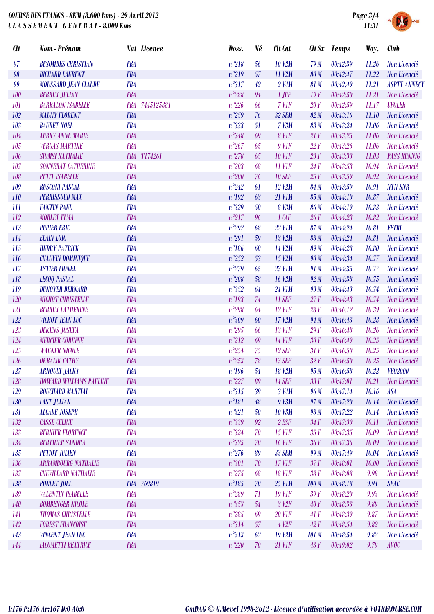

| <b>Clt</b> | <b>Nom</b> - Prénom            |            | <b>Nat Licence</b> | Doss.          | Né | <b>Clt</b> Cat         |             | Clt Sx Temps | Moy.  | <b>Club</b>         |
|------------|--------------------------------|------------|--------------------|----------------|----|------------------------|-------------|--------------|-------|---------------------|
| 97         | <b>BESOMBES CHRISTIAN</b>      | <b>FRA</b> |                    | $n^{\circ}218$ | 56 | <b>10 V2M</b>          | 79M         | 00:42:39     | 11.26 | Non Licencié        |
| 98         | <b>RICHARD LAURENT</b>         | <b>FRA</b> |                    | $n^{\circ}219$ | 57 | 11 V2M                 | <b>80 M</b> | 00:42:47     | 11.22 | Non Licencié        |
| 99         | <b>MOUSSARD JEAN CLAUDE</b>    | <b>FRA</b> |                    | $n^{\circ}317$ | 42 | 2 V4M                  | 81 M        | 00:42:49     | 11.21 | <b>ASPTT ANNECY</b> |
| 100        | <b>BERRUX JULIAN</b>           | <b>FRA</b> |                    | $n^{\circ}288$ | 94 | $1$ JUF                | 19F         | 00:42:50     | 11.21 | Non Licencié        |
| 101        | <b>BARRALON ISABELLE</b>       | <b>FRA</b> | 7445125881         | $n^{\circ}226$ | 66 | 7 VIF                  | 20F         | 00:42:59     | 11.17 | <b>UFOLER</b>       |
| 102        | <b>MAUNY FLORENT</b>           | <b>FRA</b> |                    | $n^{\circ}259$ | 76 | 32 SEM                 | 82M         | 00:43:16     | 11.10 | Non Licencié        |
| 103        | <b>BAUDET NOEL</b>             | <b>FRA</b> |                    | $n^{\circ}333$ | 51 | <b>7 V3M</b>           | 83 M        | 00:43:24     | 11.06 | Non Licencié        |
| 104        | <b>AUBRY ANNE MARIE</b>        | <b>FRA</b> |                    | $n^{\circ}348$ | 69 | 8 VIF                  | 21F         | 00:43:25     | 11.06 | Non Licencié        |
| 105        | <b>VERGAS MARTINE</b>          | <b>FRA</b> |                    | $n^{\circ}267$ | 65 | $9$ V1F                | 22F         | 00:43:26     | 11.06 | Non Licencié        |
| 106        | <b>SIOMSI NATHALIE</b>         |            | FRA T174261        | $n^{\circ}278$ | 65 | <b>10 V1F</b>          | 23F         | 00:43:33     | 11.03 | <b>PASS RUNNIG</b>  |
| 107        | <b>SONNERAT CATHERINE</b>      | <b>FRA</b> |                    | $n^{\circ}203$ | 68 | <b>11 V1F</b>          | 24F         | 00:43:53     | 10.94 | Non Licencié        |
| 108        | <b>PETIT ISABELLE</b>          | <b>FRA</b> |                    | $n^{\circ}200$ | 76 | <b>10 SEF</b>          | 25F         | 00:43:59     | 10.92 | Non Licencié        |
| 109        | <b>RUSCONI PASCAL</b>          | <b>FRA</b> |                    | $n^{\circ}242$ | 61 | 12 V2M                 | <b>84 M</b> | 00:43:59     | 10.91 | <b>NTN SNR</b>      |
| 110        | <b>PERRISSOUD MAX</b>          | <b>FRA</b> |                    | $n^{\circ}192$ | 63 | <b>21 V1M</b>          | 85M         | 00:44:10     | 10.87 | Non Licencié        |
| III        | <b>FANTIN PAUL</b>             | <b>FRA</b> |                    | $n^{\circ}329$ | 50 | <b>8 V3M</b>           | <b>86 M</b> | 00:44:19     | 10.83 | Non Licencié        |
| 112        | <b>MORLET ELMA</b>             | <b>FRA</b> |                    | $n^{\circ}217$ | 96 | 1 CAF                  | 26F         | 00:44:23     | 10.82 | Non Licencié        |
| 113        | <b>PUPIER ERIC</b>             | <b>FRA</b> |                    | $n^{\circ}292$ | 68 | <b>22 V1M</b>          | 87 M        | 00:44:24     | 10.81 | <b>FFTRI</b>        |
| 114        | <b>ELAIN LOIC</b>              | <b>FRA</b> |                    | $n^{\circ}291$ | 59 | 13 V2M                 | <b>88 M</b> | 00:44:24     | 10.81 | Non Licencié        |
| 115        | <b>HUDRY PATRICK</b>           | <b>FRA</b> |                    | $n^{\circ}186$ | 60 | 14 V2M                 | <b>89M</b>  | 00:44:28     | 10.80 | Non Licencié        |
| 116        | <b>CHAUVIN DOMINIQUE</b>       | <b>FRA</b> |                    | $n^{\circ}252$ | 53 | 15 V2M                 | 90 M        | 00:44:34     | 10.77 | Non Licencié        |
| 117        | <b>ASTIER LIONEL</b>           | <b>FRA</b> |                    | $n^{\circ}279$ | 65 | <b>23 V1M</b>          | 91 M        | 00:44:35     | 10.77 | Non Licencié        |
| 118        | <b>LECOQ PASCAL</b>            | <b>FRA</b> |                    | $n^{\circ}208$ | 58 | <b>16 V2M</b>          | 92M         | 00:44:38     | 10.75 | Non Licencié        |
| 119        | <b>DUNOYER BERNARD</b>         | <b>FRA</b> |                    | $n^{\circ}352$ | 64 | <b>24 V1M</b>          | 93 M        | 00:44:43     | 10.74 | Non Licencié        |
| 120        | <b>MICHOT CHRISTELLE</b>       | <b>FRA</b> |                    | $n^{\circ}193$ | 74 | <b>11 SEF</b>          | 27F         | 00:44:43     | 10.74 | Non Licencié        |
| 121        | <b>BERRUX CATHERINE</b>        | <b>FRA</b> |                    | $n^{\circ}298$ | 64 | <b>12 VIF</b>          | 28F         | 00:46:12     | 10.39 | Non Licencié        |
| 122        | VICHOT JEAN LUC                | <b>FRA</b> |                    | $n^{\circ}309$ | 60 | 17 V2M                 | 94 M        | 00:46:43     | 10.28 | Non Licencié        |
| 123        | <b>DEKENS JOSEFA</b>           | <b>FRA</b> |                    | $n^{\circ}295$ | 66 | <b>13 V1F</b>          | 29F         | 00:46:48     | 10.26 | Non Licencié        |
| 124        | <b>MERCIER CORINNE</b>         | <b>FRA</b> |                    | $n^{\circ}212$ | 69 | <b>14 V1F</b>          | 30F         | 00:46:49     | 10.25 | Non Licencié        |
| 125        | <b>WAGNER NICOLE</b>           | <b>FRA</b> |                    | $n^{\circ}254$ | 75 | <b>12 SEF</b>          | 31F         | 00:46:50     | 10.25 | Non Licencié        |
| 126        | <b>OKRALIK CATHY</b>           | <b>FRA</b> |                    | $n^{\circ}253$ | 78 | <b>13 SEF</b>          | 32F         | 00:46:50     | 10.25 | Non Licencié        |
| 127        | <b>ARNOULT JACKY</b>           | <b>FRA</b> |                    | $n^{\circ}196$ | 54 | <b>18 V2M</b>          | 95M         | 00:46:58     | 10.22 | VE02000             |
| 128        | <b>HOWARD WILLIAMS PAULINE</b> | <b>FRA</b> |                    | $n^{\circ}227$ | 89 | <b>14 SEF</b>          | 33F         | 00:47:01     | 10.21 | Non Licencié        |
| 129        | <b>BOUCHARD MARTIAL</b>        | <b>FRA</b> |                    | $n^{\circ}315$ | 39 | 3 V <sub>4</sub> M     | 96 M        | 00:47:14     | 10.16 | <b>ASA</b>          |
| 130        | <b>LAST JULIAN</b>             | <b>FRA</b> |                    | $n^{\circ}181$ | 48 | 9 V3M                  | 97 M        | 00:47:20     | 10.14 | Non Licencié        |
| 131        | <b>ALCADE JOSEPH</b>           | <b>FRA</b> |                    | $n^{\circ}321$ | 50 | <b>10 V3M</b>          | 98 M        | 00:47:22     | 10.14 | Non Licencié        |
| 132        | <b>CASSE CELINE</b>            | <b>FRA</b> |                    | $n^{\circ}339$ | 92 | $2$ <i>ESF</i>         | 34F         | 00:47:30     | 10.11 | Non Licencié        |
| 133        | <b>BERNIER FLORENCE</b>        | <b>FRA</b> |                    | $n^{\circ}324$ | 70 | <b>15 VIF</b>          | 35F         | 00:47:35     | 10.09 | Non Licencié        |
| 134        | <b>BERTHIER SANDRA</b>         | <b>FRA</b> |                    | $n^{\circ}325$ | 70 | <b>16 V1F</b>          | 36F         | 00:47:36     | 10.09 | Non Licencié        |
| 135        | <b>PETIOT JULIEN</b>           | <b>FRA</b> |                    | $n^{\circ}276$ | 89 | <b>33 SEM</b>          | 99 M        | 00:47:49     | 10.04 | Non Licencié        |
| 136        | <b>ARRAMBOURG NATHALIE</b>     | <b>FRA</b> |                    | $n^{\circ}301$ | 70 | <b>17 VIF</b>          | 37F         | 00:48:01     | 10.00 | Non Licencié        |
| 137        | <b>CHEVILLARD NATHALIE</b>     | <b>FRA</b> |                    | $n^{\circ}275$ | 68 | <b>18 VIF</b>          | 38F         | 00:48:08     | 9.98  | Non Licencié        |
| 138        | <b>PONCET JOEL</b>             |            | FRA 769819         | $n^{\circ}185$ | 70 | <b>25 V1M</b>          | 100 M       | 00:48:18     | 9.94  | <b>SPAC</b>         |
| 139        | <b>VALENTIN ISABELLE</b>       | <b>FRA</b> |                    | $n^{\circ}289$ | 71 | <b>19 VIF</b>          | 39F         | 00:48:20     | 9.93  | Non Licencié        |
| 140        | <b>BOMBENGER NICOLE</b>        | <b>FRA</b> |                    | $n^{\circ}353$ | 54 | 3 <sub>12F</sub>       | 40F         | 00:48:33     | 9.89  | Non Licencié        |
| 141        | <b>THOMAS CHRISTELLE</b>       | <b>FRA</b> |                    | $n^{\circ}285$ | 69 | <b>20 V1F</b>          | 41F         | 00:48:39     | 9.87  | Non Licencié        |
| 142        | <b>FOREST FRANCOISE</b>        | <b>FRA</b> |                    | $n^{\circ}314$ | 57 | $4$ V <sub>2</sub> $F$ | 42F         | 00:48:54     | 9.82  | Non Licencié        |
| 143        | <b>VINCENT JEAN LUC</b>        | <b>FRA</b> |                    | $n^{\circ}313$ | 62 | <b>19 V2M</b>          | 101M        | 00:48:54     | 9.82  | <b>Non Licencié</b> |
| 144        | <b>IACOMETTI BEATRICE</b>      | <b>FRA</b> |                    | $n^{\circ}220$ | 70 | <b>21 V1F</b>          | 43F         | 0.49:02      | 9.79  | <b>AVOC</b>         |